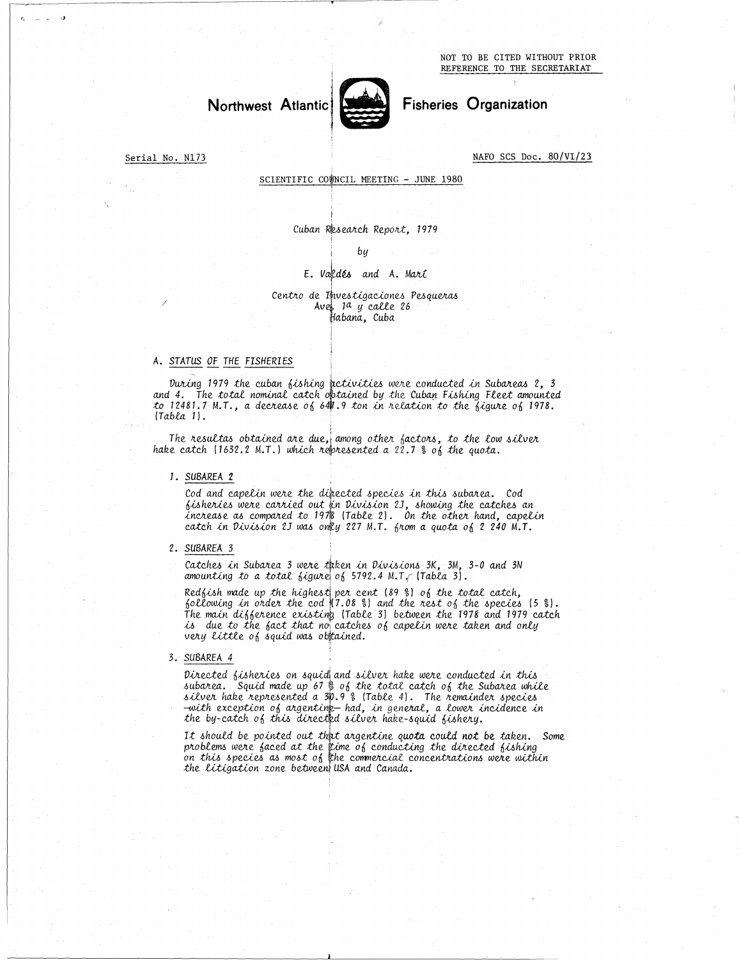NOT TO BE CITED WITHOUT PRIOR REFERENCE TO THE SECRETARIAT

# Northwest Atlantic



# **Fisheries Organization**

Serial No. N173

NAFO SCS Doc. 80/VI/23

### SCIENTIFIC COUNCIL MEETING - JUNE 1980

Cuban Research Report, 1979

by

#### E. Valdes and A. Mari

#### Centro de Investigaciones Pesqueras Avez 1a y calle 26 Habana, Cuba

### A. STATUS OF THE FISHERIES

During 1979 the cuban fishing activities were conducted in Subareas 2, 3 and 4. The total nominal catch obtained by the Cuban Fishing Fleet amounted to 12481.7 M.T., a decrease of 641.9 ton in relation to the figure of 197  $(Tabla 1).$ 

The resultas obtained are due, among other factors, to the low silver hake catch (1632.2 M.T.) which represented a 22.7 % of the quota.

#### 1. SUBAREA 2

Cod and capelin were the directed species in this subarea. Cod<br>fisheries were carried out in Division 2J, showing the catches an<br>increase as compared to 1978 (Table 2). On the other hand, capelin catch in Division 2J was only 227 M.T. from a quota of 2 240 M.T.

#### 2. SUBAREA 3

Catches in Subarea 3 were taken in Divisions 3K, 3M, 3-0 and 3N amounting to a total figure of  $5792.4$  M.T. (Tabla 3).

Redfish made up the highest per cent  $(89 \text{ } 8)$  of the total catch,<br>following in order the cod  $(7.08 \text{ } 8)$  and the rest of the species  $(5 \text{ } 8)$ . The main difference existing (Table 3) between the 1978 and 1979 catch<br>is due to the fact that no catches of capelin were taken and only very little of squid was obtained.

#### 3. SUBAREA 4

Directed fisheries on squid and silver hake were conducted in this subarea. Squid made up 67 \$ of the total catch of the Subarea while<br>silver hake represented a 3%.9 % (Table 4). The remainder species<br>-with exception of argentine-had, in general, a lower incidence in<br>the by-catch of this

It should be pointed out that argentine quota could not be taken. Some problems were faced at the time of conducting the directed fishing<br>on this species as most of the commercial concentrations were within the litigation zone between USA and Canada.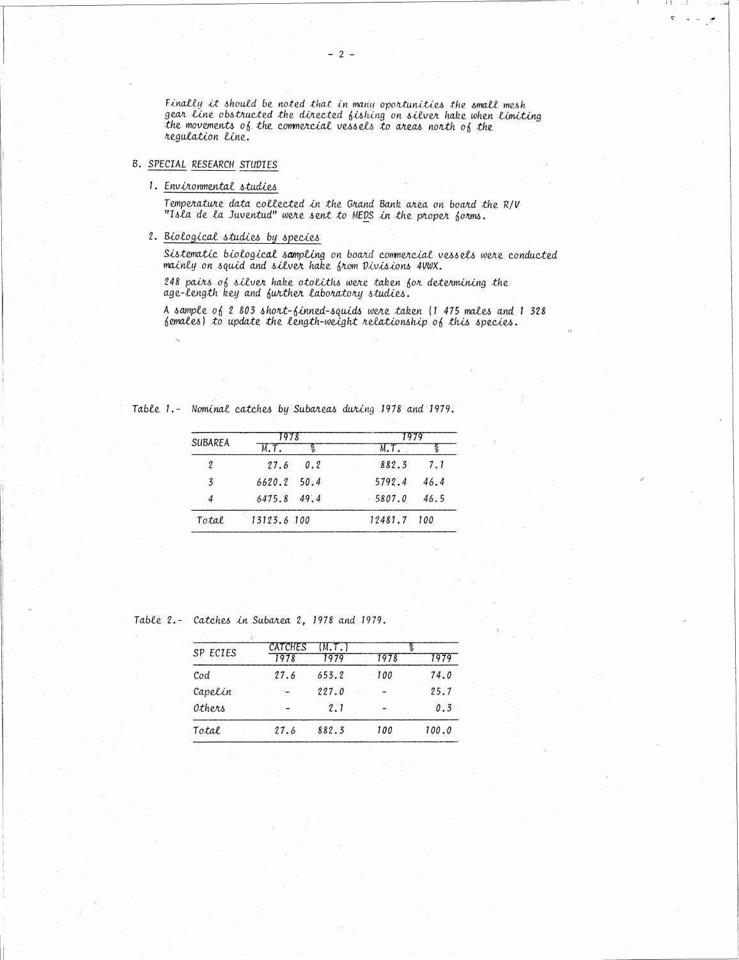Finally it should be noted that in many oportunities the small mesh gear line obstructed the directed fishing on silver hake when limiting the movements of the commercial vessels to areas north of the regulation line.

## B. SPECIAL RESEARCH STUDIES

## 1. Environmental studies

Temperature data collected in the Grand Bank area on board the R/V "Isla de la Juventud" were sent to MEDS in the proper forms.

2. Biological studies by species

Sistematic biological sampling on board commercial vessels were conducted mainly on squid and silver hake from Divisions 400X.

248 pairs of silver hake otoliths were taken for determining the age-length key and further laboratory studies.

A sample of 2 803 short-finned-squids were taken (1 475 males and 1 328 females) to update the length-weight relationship of this species.

Table 1.- Nominal catches by Subareas during 1978 and 1979.

| <b>SUBAREA</b>       | 1978          | 1979           |
|----------------------|---------------|----------------|
|                      | M.T.<br>ž     | M.T.           |
|                      | $27.6 \t0.2$  | 882.3 7.1      |
| $\mathbf{3}^{\circ}$ | 6620.2 50.4   | 5792.4 46.4    |
| 4                    | $6475.8$ 49.4 | $-5807.0$ 46.5 |
| Total                | $13123.6$ 100 | 12481.7 100    |

Table 2.- Catches in Subarea 2, 1978 and 1979.

|                 | CATCHES | (M.T. |      |       |
|-----------------|---------|-------|------|-------|
| SP ECIES        | 1978    | 1979  | 1978 | 1979  |
| $\mathcal{C}od$ | 27.6    | 653.2 | 100  | 74.0  |
| Capelin         |         | 227.0 |      | 25.7  |
| Others          |         | 2.1   |      | 0.3   |
| Total           | 27.6    | 882.3 | 100  | 100.0 |
|                 |         |       |      |       |